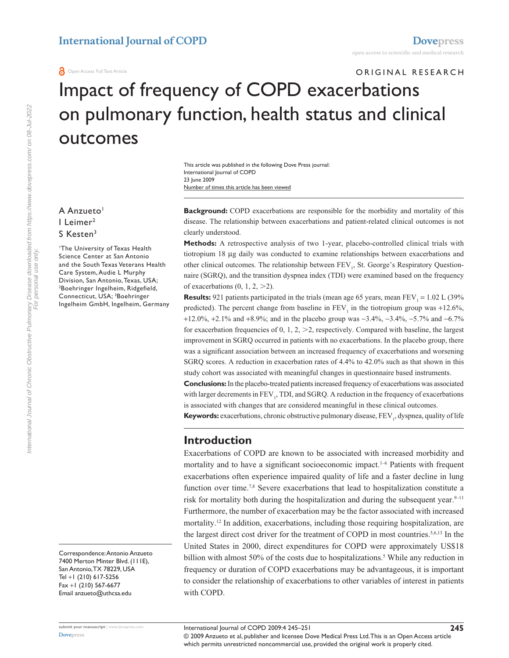**O** Open Access Full Text Article

# ORIGINAL RESEARCH Impact of frequency of COPD exacerbations on pulmonary function, health status and clinical outcomes

Number of times this article has been viewed This article was published in the following Dove Press journal: International Journal of COPD 23 June 2009

A Anzueto<sup>1</sup> I Leimer2 S Kesten<sup>3</sup>

1 The University of Texas Health Science Center at San Antonio and the South Texas Veterans Health Care System, Audie L Murphy Division, San Antonio, Texas, USA; 2 Boehringer Ingelheim, Ridgefield, Connecticut, USA; <sup>3</sup>Boehringer Ingelheim GmbH, Ingelheim, Germany

Correspondence: Antonio Anzueto 7400 Merton Minter Blvd. (111E), San Antonio, TX 78229, USA Tel +1 (210) 617-5256 Fax +1 (210) 567-6677 Email anzueto@uthcsa.edu

**Background:** COPD exacerbations are responsible for the morbidity and mortality of this disease. The relationship between exacerbations and patient-related clinical outcomes is not clearly understood.

**Methods:** A retrospective analysis of two 1-year, placebo-controlled clinical trials with tiotropium 18 µg daily was conducted to examine relationships between exacerbations and other clinical outcomes. The relationship between FEV<sub>1</sub>, St. George's Respiratory Questionnaire (SGRQ), and the transition dyspnea index (TDI) were examined based on the frequency of exacerbations  $(0, 1, 2, >2)$ .

**Results:** 921 patients participated in the trials (mean age 65 years, mean  $FEV_1 = 1.02$  L (39%) predicted). The percent change from baseline in  $FEV<sub>1</sub>$  in the tiotropium group was +12.6%, +12.0%, +2.1% and +8.9%; and in the placebo group was -3.4%, -3.4%, -5.7% and -6.7% for exacerbation frequencies of  $0, 1, 2, \geq 2$ , respectively. Compared with baseline, the largest improvement in SGRQ occurred in patients with no exacerbations. In the placebo group, there was a significant association between an increased frequency of exacerbations and worsening SGRQ scores. A reduction in exacerbation rates of 4.4% to 42.0% such as that shown in this study cohort was associated with meaningful changes in questionnaire based instruments.

**Conclusions:** In the placebo-treated patients increased frequency of exacerbations was associated with larger decrements in FEV<sub>1</sub>, TDI, and SGRQ. A reduction in the frequency of exacerbations is associated with changes that are considered meaningful in these clinical outcomes.

Keywords: exacerbations, chronic obstructive pulmonary disease, FEV<sub>1</sub>, dyspnea, quality of life

# **Introduction**

Exacerbations of COPD are known to be associated with increased morbidity and mortality and to have a significant socioeconomic impact.<sup>1-6</sup> Patients with frequent exacerbations often experience impaired quality of life and a faster decline in lung function over time.<sup>7,8</sup> Severe exacerbations that lead to hospitalization constitute a risk for mortality both during the hospitalization and during the subsequent year.<sup>9–11</sup> Furthermore, the number of exacerbation may be the factor associated with increased mortality.<sup>12</sup> In addition, exacerbations, including those requiring hospitalization, are the largest direct cost driver for the treatment of COPD in most countries.<sup>5,6,13</sup> In the United States in 2000, direct expenditures for COPD were approximately US\$18 billion with almost 50% of the costs due to hospitalizations.<sup>5</sup> While any reduction in frequency or duration of COPD exacerbations may be advantageous, it is important to consider the relationship of exacerbations to other variables of interest in patients with COPD.

**[Dovepress](www.dovepress.com)**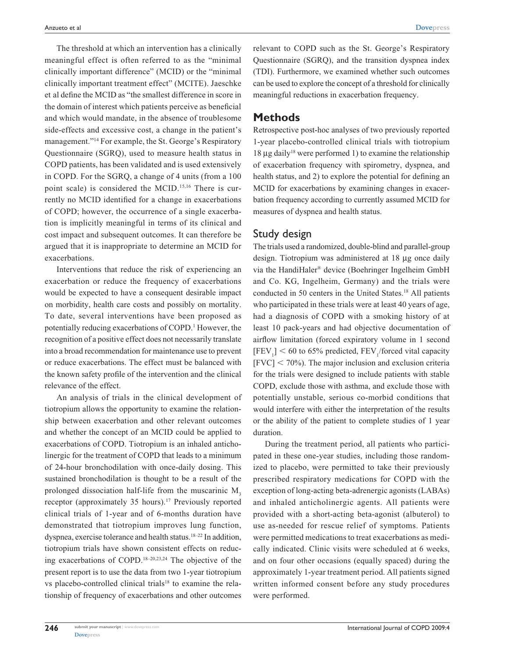The threshold at which an intervention has a clinically meaningful effect is often referred to as the "minimal clinically important difference" (MCID) or the "minimal clinically important treatment effect" (MCITE). Jaeschke et al define the MCID as "the smallest difference in score in the domain of interest which patients perceive as beneficial and which would mandate, in the absence of troublesome side-effects and excessive cost, a change in the patient's management."14 For example, the St. George's Respiratory Questionnaire (SGRQ), used to measure health status in COPD patients, has been validated and is used extensively in COPD. For the SGRQ, a change of 4 units (from a 100 point scale) is considered the MCID.15,16 There is currently no MCID identified for a change in exacerbations of COPD; however, the occurrence of a single exacerbation is implicitly meaningful in terms of its clinical and cost impact and subsequent outcomes. It can therefore be argued that it is inappropriate to determine an MCID for exacerbations.

Interventions that reduce the risk of experiencing an exacerbation or reduce the frequency of exacerbations would be expected to have a consequent desirable impact on morbidity, health care costs and possibly on mortality. To date, several interventions have been proposed as potentially reducing exacerbations of COPD.<sup>1</sup> However, the recognition of a positive effect does not necessarily translate into a broad recommendation for maintenance use to prevent or reduce exacerbations. The effect must be balanced with the known safety profile of the intervention and the clinical relevance of the effect.

An analysis of trials in the clinical development of tiotropium allows the opportunity to examine the relationship between exacerbation and other relevant outcomes and whether the concept of an MCID could be applied to exacerbations of COPD. Tiotropium is an inhaled anticholinergic for the treatment of COPD that leads to a minimum of 24-hour bronchodilation with once-daily dosing. This sustained bronchodilation is thought to be a result of the prolonged dissociation half-life from the muscarinic M<sub>3</sub> receptor (approximately 35 hours).<sup>17</sup> Previously reported clinical trials of 1-year and of 6-months duration have demonstrated that tiotropium improves lung function, dyspnea, exercise tolerance and health status.<sup>18–22</sup> In addition, tiotropium trials have shown consistent effects on reducing exacerbations of COPD.18–20,23,24 The objective of the present report is to use the data from two 1-year tiotropium vs placebo-controlled clinical trials<sup>18</sup> to examine the relationship of frequency of exacerbations and other outcomes relevant to COPD such as the St. George's Respiratory Questionnaire (SGRQ), and the transition dyspnea index (TDI). Furthermore, we examined whether such outcomes can be used to explore the concept of a threshold for clinically meaningful reductions in exacerbation frequency.

### **Methods**

Retrospective post-hoc analyses of two previously reported 1-year placebo-controlled clinical trials with tiotropium  $18 \mu$ g daily<sup>18</sup> were performed 1) to examine the relationship of exacerbation frequency with spirometry, dyspnea, and health status, and 2) to explore the potential for defining an MCID for exacerbations by examining changes in exacerbation frequency according to currently assumed MCID for measures of dyspnea and health status.

#### Study design

The trials used a randomized, double-blind and parallel-group design. Tiotropium was administered at 18 µg once daily via the HandiHaler® device (Boehringer Ingelheim GmbH and Co. KG, Ingelheim, Germany) and the trials were conducted in 50 centers in the United States.<sup>18</sup> All patients who participated in these trials were at least 40 years of age, had a diagnosis of COPD with a smoking history of at least 10 pack-years and had objective documentation of airflow limitation (forced expiratory volume in 1 second  $[FEV<sub>1</sub>]$  < 60 to 65% predicted,  $FEV<sub>1</sub>/forced$  vital capacity  $[FVC] < 70\%$ ). The major inclusion and exclusion criteria for the trials were designed to include patients with stable COPD, exclude those with asthma, and exclude those with potentially unstable, serious co-morbid conditions that would interfere with either the interpretation of the results or the ability of the patient to complete studies of 1 year duration.

During the treatment period, all patients who participated in these one-year studies, including those randomized to placebo, were permitted to take their previously prescribed respiratory medications for COPD with the exception of long-acting beta-adrenergic agonists (LABAs) and inhaled anticholinergic agents. All patients were provided with a short-acting beta-agonist (albuterol) to use as-needed for rescue relief of symptoms. Patients were permitted medications to treat exacerbations as medically indicated. Clinic visits were scheduled at 6 weeks, and on four other occasions (equally spaced) during the approximately 1-year treatment period. All patients signed written informed consent before any study procedures were performed.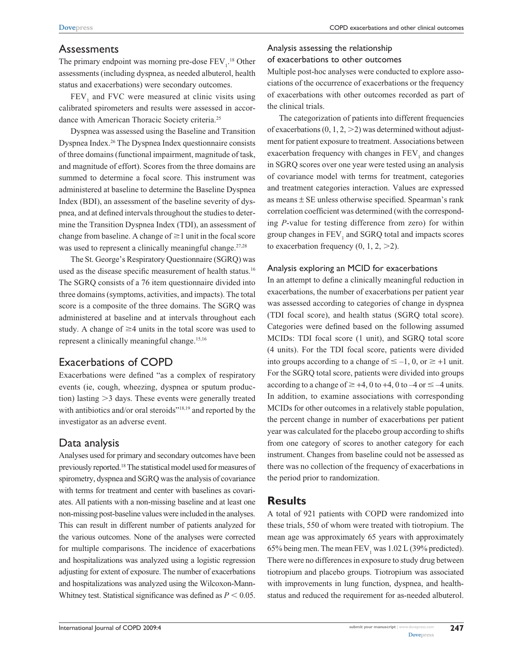#### Assessments

The primary endpoint was morning pre-dose  $\text{FEV}_1$ .<sup>18</sup> Other assessments (including dyspnea, as needed albuterol, health status and exacerbations) were secondary outcomes.

 $FEV<sub>1</sub>$  and FVC were measured at clinic visits using calibrated spirometers and results were assessed in accordance with American Thoracic Society criteria.25

Dyspnea was assessed using the Baseline and Transition Dyspnea Index.26 The Dyspnea Index questionnaire consists of three domains (functional impairment, magnitude of task, and magnitude of effort). Scores from the three domains are summed to determine a focal score. This instrument was administered at baseline to determine the Baseline Dyspnea Index (BDI), an assessment of the baseline severity of dyspnea, and at defined intervals throughout the studies to determine the Transition Dyspnea Index (TDI), an assessment of change from baseline. A change of  $\geq 1$  unit in the focal score was used to represent a clinically meaningful change.<sup>27,28</sup>

The St. George's Respiratory Questionnaire (SGRQ) was used as the disease specific measurement of health status.<sup>16</sup> The SGRQ consists of a 76 item questionnaire divided into three domains (symptoms, activities, and impacts). The total score is a composite of the three domains. The SGRQ was administered at baseline and at intervals throughout each study. A change of  $\geq$ 4 units in the total score was used to represent a clinically meaningful change.<sup>15,16</sup>

# Exacerbations of COPD

Exacerbations were defined "as a complex of respiratory events (ie, cough, wheezing, dyspnea or sputum production) lasting  $>$ 3 days. These events were generally treated with antibiotics and/or oral steroids"<sup>18,19</sup> and reported by the investigator as an adverse event.

# Data analysis

Analyses used for primary and secondary outcomes have been previously reported.18 The statistical model used for measures of spirometry, dyspnea and SGRQ was the analysis of covariance with terms for treatment and center with baselines as covariates. All patients with a non-missing baseline and at least one non-missing post-baseline values were included in the analyses. This can result in different number of patients analyzed for the various outcomes. None of the analyses were corrected for multiple comparisons. The incidence of exacerbations and hospitalizations was analyzed using a logistic regression adjusting for extent of exposure. The number of exacerbations and hospitalizations was analyzed using the Wilcoxon-Mann-Whitney test. Statistical significance was defined as  $P < 0.05$ .

# Analysis assessing the relationship of exacerbations to other outcomes

Multiple post-hoc analyses were conducted to explore associations of the occurrence of exacerbations or the frequency of exacerbations with other outcomes recorded as part of the clinical trials.

The categorization of patients into different frequencies of exacerbations  $(0, 1, 2, >2)$  was determined without adjustment for patient exposure to treatment. Associations between exacerbation frequency with changes in  $\rm{FEV}_1$  and changes in SGRQ scores over one year were tested using an analysis of covariance model with terms for treatment, categories and treatment categories interaction. Values are expressed as means  $\pm$  SE unless otherwise specified. Spearman's rank correlation coefficient was determined (with the corresponding *P*-value for testing difference from zero) for within group changes in  $FEV<sub>1</sub>$  and SGRQ total and impacts scores to exacerbation frequency  $(0, 1, 2, >2)$ .

#### Analysis exploring an MCID for exacerbations

In an attempt to define a clinically meaningful reduction in exacerbations, the number of exacerbations per patient year was assessed according to categories of change in dyspnea (TDI focal score), and health status (SGRQ total score). Categories were defined based on the following assumed MCIDs: TDI focal score (1 unit), and SGRQ total score (4 units). For the TDI focal score, patients were divided into groups according to a change of  $\leq -1$ , 0, or  $\geq +1$  unit. For the SGRQ total score, patients were divided into groups according to a change of  $\geq +4$ , 0 to  $+4$ , 0 to  $-4$  or  $\leq -4$  units. In addition, to examine associations with corresponding MCIDs for other outcomes in a relatively stable population, the percent change in number of exacerbations per patient year was calculated for the placebo group according to shifts from one category of scores to another category for each instrument. Changes from baseline could not be assessed as there was no collection of the frequency of exacerbations in the period prior to randomization.

### **Results**

A total of 921 patients with COPD were randomized into these trials, 550 of whom were treated with tiotropium. The mean age was approximately 65 years with approximately 65% being men. The mean  $\text{FEV}_1$  was  $1.02$  L (39% predicted). There were no differences in exposure to study drug between tiotropium and placebo groups. Tiotropium was associated with improvements in lung function, dyspnea, and healthstatus and reduced the requirement for as-needed albuterol.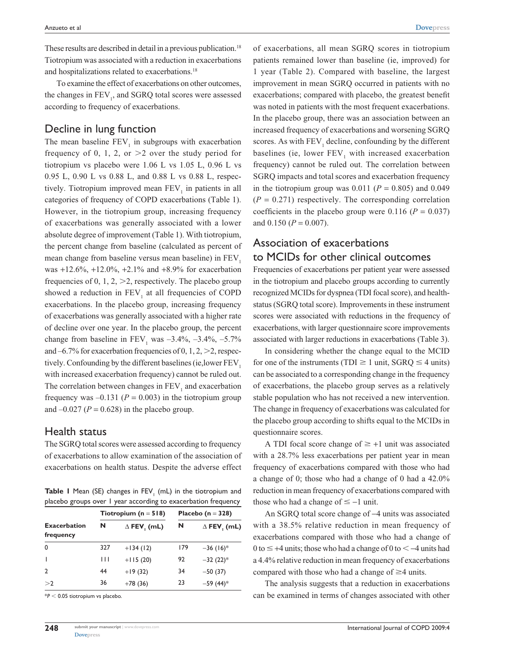These results are described in detail in a previous publication.<sup>18</sup> Tiotropium was associated with a reduction in exacerbations and hospitalizations related to exacerbations.<sup>18</sup>

To examine the effect of exacerbations on other outcomes, the changes in FEV<sub>1</sub>, and SGRQ total scores were assessed according to frequency of exacerbations.

# Decline in lung function

The mean baseline  $FEV<sub>1</sub>$  in subgroups with exacerbation frequency of 0, 1, 2, or  $>2$  over the study period for tiotropium vs placebo were 1.06 L vs 1.05 L, 0.96 L vs 0.95 L, 0.90 L vs 0.88 L, and 0.88 L vs 0.88 L, respectively. Tiotropium improved mean  $FEV<sub>1</sub>$  in patients in all categories of frequency of COPD exacerbations (Table 1). However, in the tiotropium group, increasing frequency of exacerbations was generally associated with a lower absolute degree of improvement (Table 1). With tiotropium, the percent change from baseline (calculated as percent of mean change from baseline versus mean baseline) in FEV. was +12.6%, +12.0%, +2.1% and +8.9% for exacerbation frequencies of 0, 1, 2,  $>$  2, respectively. The placebo group showed a reduction in  $FEV<sub>1</sub>$  at all frequencies of COPD exacerbations. In the placebo group, increasing frequency of exacerbations was generally associated with a higher rate of decline over one year. In the placebo group, the percent change from baseline in  $FEV_1$  was  $-3.4\%$ ,  $-3.4\%$ ,  $-5.7\%$ and  $-6.7\%$  for exacerbation frequencies of 0, 1, 2,  $>$  2, respectively. Confounding by the different baselines (ie, lower FEV, with increased exacerbation frequency) cannot be ruled out. The correlation between changes in  $\rm{FEV}_1$  and exacerbation frequency was  $-0.131$  ( $P = 0.003$ ) in the tiotropium group and  $-0.027$  ( $P = 0.628$ ) in the placebo group.

### Health status

The SGRQ total scores were assessed according to frequency of exacerbations to allow examination of the association of exacerbations on health status. Despite the adverse effect

**Table I** Mean (SE) changes in FEV<sub>1</sub> (mL) in the tiotropium and placebo groups over 1 year according to exacerbation frequency

|                                  |     | Tiotropium ( $n = 518$ ) | Placebo ( $n = 328$ ) |                    |  |
|----------------------------------|-----|--------------------------|-----------------------|--------------------|--|
| <b>Exacerbation</b><br>frequency | N   | $\Delta$ FEV, (mL)       | N                     | $\Delta$ FEV, (mL) |  |
| 0                                | 327 | $+134(12)$               | 179                   | $-36(16)*$         |  |
|                                  | Ш   | $+115(20)$               | 92                    | $-32(22)*$         |  |
| $\overline{2}$                   | 44  | $+19(32)$                | 34                    | $-50(37)$          |  |
| >2                               | 36  | $+78(36)$                | 23                    | $-59(44)*$         |  |

\**P* 0.05 tiotropium vs placebo.

of exacerbations, all mean SGRQ scores in tiotropium patients remained lower than baseline (ie, improved) for 1 year (Table 2). Compared with baseline, the largest improvement in mean SGRQ occurred in patients with no exacerbations; compared with placebo, the greatest benefit was noted in patients with the most frequent exacerbations. In the placebo group, there was an association between an increased frequency of exacerbations and worsening SGRQ scores. As with  $\text{FEV}_1$  decline, confounding by the different baselines (ie, lower  $FEV<sub>1</sub>$  with increased exacerbation frequency) cannot be ruled out. The correlation between SGRQ impacts and total scores and exacerbation frequency in the tiotropium group was  $0.011$  ( $P = 0.805$ ) and  $0.049$  $(P = 0.271)$  respectively. The corresponding correlation coefficients in the placebo group were  $0.116$  ( $P = 0.037$ ) and  $0.150 (P = 0.007)$ .

# Association of exacerbations to MCIDs for other clinical outcomes

Frequencies of exacerbations per patient year were assessed in the tiotropium and placebo groups according to currently recognized MCIDs for dyspnea (TDI focal score), and healthstatus (SGRQ total score). Improvements in these instrument scores were associated with reductions in the frequency of exacerbations, with larger questionnaire score improvements associated with larger reductions in exacerbations (Table 3).

In considering whether the change equal to the MCID for one of the instruments (TDI  $\geq 1$  unit, SGRQ  $\leq 4$  units) can be associated to a corresponding change in the frequency of exacerbations, the placebo group serves as a relatively stable population who has not received a new intervention. The change in frequency of exacerbations was calculated for the placebo group according to shifts equal to the MCIDs in questionnaire scores.

A TDI focal score change of  $\geq +1$  unit was associated with a 28.7% less exacerbations per patient year in mean frequency of exacerbations compared with those who had a change of 0; those who had a change of 0 had a 42.0% reduction in mean frequency of exacerbations compared with those who had a change of  $\leq -1$  unit.

An SGRQ total score change of -4 units was associated with a 38.5% relative reduction in mean frequency of exacerbations compared with those who had a change of 0 to  $\leq$  +4 units; those who had a change of 0 to  $\lt$  -4 units had a 4.4% relative reduction in mean frequency of exacerbations compared with those who had a change of  $\geq$ 4 units.

The analysis suggests that a reduction in exacerbations can be examined in terms of changes associated with other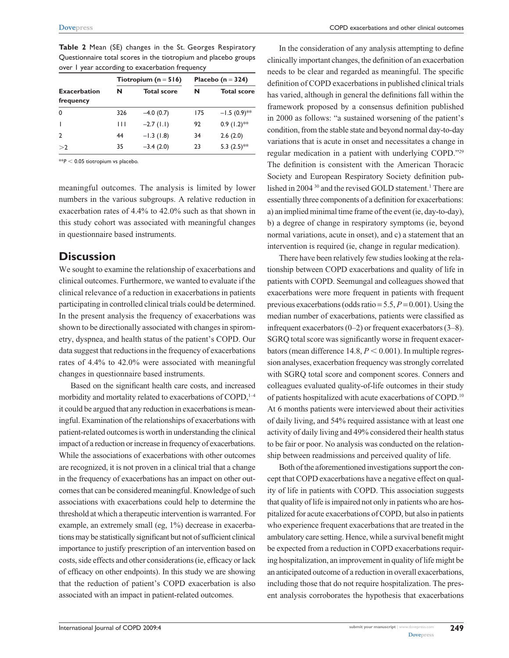|                                  |     | Tiotropium ( $n = 516$ ) | Placebo ( $n = 324$ ) |                    |  |
|----------------------------------|-----|--------------------------|-----------------------|--------------------|--|
| <b>Exacerbation</b><br>frequency | N   | <b>Total score</b>       | N                     | <b>Total score</b> |  |
| $\mathbf 0$                      | 326 | $-4.0(0.7)$              | 175                   | $-1.5(0.9)$ **     |  |
|                                  | Ш   | $-2.7(1.1)$              | 92                    | $0.9(1.2)$ **      |  |
| $\mathcal{P}$                    | 44  | $-1.3(1.8)$              | 34                    | 2.6(2.0)           |  |
| >2                               | 35  | $-3.4(2.0)$              | 23                    | 5.3 $(2.5)$ **     |  |

**Table 2** Mean (SE) changes in the St. Georges Respiratory Questionnaire total scores in the tiotropium and placebo groups over 1 year according to exacerbation frequency

\*\**P* 0.05 tiotropium vs placebo.

meaningful outcomes. The analysis is limited by lower numbers in the various subgroups. A relative reduction in exacerbation rates of 4.4% to 42.0% such as that shown in this study cohort was associated with meaningful changes in questionnaire based instruments.

### **Discussion**

We sought to examine the relationship of exacerbations and clinical outcomes. Furthermore, we wanted to evaluate if the clinical relevance of a reduction in exacerbations in patients participating in controlled clinical trials could be determined. In the present analysis the frequency of exacerbations was shown to be directionally associated with changes in spirometry, dyspnea, and health status of the patient's COPD. Our data suggest that reductions in the frequency of exacerbations rates of 4.4% to 42.0% were associated with meaningful changes in questionnaire based instruments.

Based on the significant health care costs, and increased morbidity and mortality related to exacerbations of COPD,<sup>1-4</sup> it could be argued that any reduction in exacerbations is meaningful. Examination of the relationships of exacerbations with patient-related outcomes is worth in understanding the clinical impact of a reduction or increase in frequency of exacerbations. While the associations of exacerbations with other outcomes are recognized, it is not proven in a clinical trial that a change in the frequency of exacerbations has an impact on other outcomes that can be considered meaningful. Knowledge of such associations with exacerbations could help to determine the threshold at which a therapeutic intervention is warranted. For example, an extremely small (eg, 1%) decrease in exacerbations may be statistically significant but not of sufficient clinical importance to justify prescription of an intervention based on costs, side effects and other considerations (ie, efficacy or lack of efficacy on other endpoints). In this study we are showing that the reduction of patient's COPD exacerbation is also associated with an impact in patient-related outcomes.

In the consideration of any analysis attempting to define clinically important changes, the definition of an exacerbation needs to be clear and regarded as meaningful. The specific definition of COPD exacerbations in published clinical trials has varied, although in general the definitions fall within the framework proposed by a consensus definition published in 2000 as follows: "a sustained worsening of the patient's condition, from the stable state and beyond normal day-to-day variations that is acute in onset and necessitates a change in regular medication in a patient with underlying COPD."29 The definition is consistent with the American Thoracic Society and European Respiratory Society definition published in 2004<sup>30</sup> and the revised GOLD statement.<sup>1</sup> There are essentially three components of a definition for exacerbations: a) an implied minimal time frame of the event (ie, day-to-day), b) a degree of change in respiratory symptoms (ie, beyond normal variations, acute in onset), and c) a statement that an intervention is required (ie, change in regular medication).

There have been relatively few studies looking at the relationship between COPD exacerbations and quality of life in patients with COPD. Seemungal and colleagues showed that exacerbations were more frequent in patients with frequent previous exacerbations (odds ratio  $= 5.5, P = 0.001$ ). Using the median number of exacerbations, patients were classified as infrequent exacerbators (0–2) or frequent exacerbators (3–8). SGRQ total score was significantly worse in frequent exacerbators (mean difference  $14.8, P \le 0.001$ ). In multiple regression analyses, exacerbation frequency was strongly correlated with SGRQ total score and component scores. Conners and colleagues evaluated quality-of-life outcomes in their study of patients hospitalized with acute exacerbations of COPD.10 At 6 months patients were interviewed about their activities of daily living, and 54% required assistance with at least one activity of daily living and 49% considered their health status to be fair or poor. No analysis was conducted on the relationship between readmissions and perceived quality of life.

Both of the aforementioned investigations support the concept that COPD exacerbations have a negative effect on quality of life in patients with COPD. This association suggests that quality of life is impaired not only in patients who are hospitalized for acute exacerbations of COPD, but also in patients who experience frequent exacerbations that are treated in the ambulatory care setting. Hence, while a survival benefit might be expected from a reduction in COPD exacerbations requiring hospitalization, an improvement in quality of life might be an anticipated outcome of a reduction in overall exacerbations, including those that do not require hospitalization. The present analysis corroborates the hypothesis that exacerbations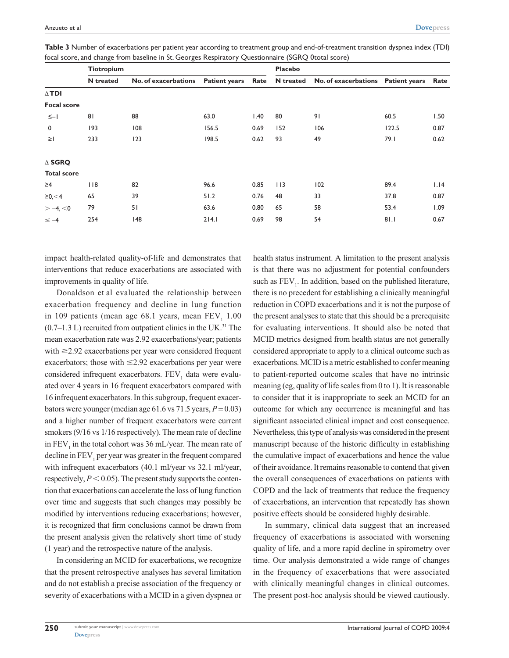|                    | <b>Tiotropium</b> |                      |                      |      | <b>Placebo</b> |                                    |       |      |  |
|--------------------|-------------------|----------------------|----------------------|------|----------------|------------------------------------|-------|------|--|
|                    | N treated         | No. of exacerbations | <b>Patient years</b> | Rate | N treated      | No. of exacerbations Patient years |       | Rate |  |
| $\Delta$ TDI       |                   |                      |                      |      |                |                                    |       |      |  |
| <b>Focal score</b> |                   |                      |                      |      |                |                                    |       |      |  |
| $\leq -$           | 81                | 88                   | 63.0                 | 1.40 | 80             | 91                                 | 60.5  | 1.50 |  |
| 0                  | 193               | 108                  | 156.5                | 0.69 | 152            | 106                                | 122.5 | 0.87 |  |
| $\geq$             | 233               | 123                  | 198.5                | 0.62 | 93             | 49                                 | 79.1  | 0.62 |  |
| $\Delta$ SGRQ      |                   |                      |                      |      |                |                                    |       |      |  |
| <b>Total score</b> |                   |                      |                      |      |                |                                    |       |      |  |
| $\geq 4$           | 118               | 82                   | 96.6                 | 0.85 | 113            | 102                                | 89.4  | 1.14 |  |
| $\geq 0, \leq 4$   | 65                | 39                   | 51.2                 | 0.76 | 48             | 33                                 | 37.8  | 0.87 |  |
| $>-4, 0$           | 79                | 51                   | 63.6                 | 0.80 | 65             | 58                                 | 53.4  | 1.09 |  |
| $\leq -4$          | 254               | 148                  | 214.1                | 0.69 | 98             | 54                                 | 81.1  | 0.67 |  |

**Table 3** Number of exacerbations per patient year according to treatment group and end-of-treatment transition dyspnea index (TDI) focal score, and change from baseline in St. Georges Respiratory Questionnaire (SGRQ 0total score)

impact health-related quality-of-life and demonstrates that interventions that reduce exacerbations are associated with improvements in quality of life.

Donaldson et al evaluated the relationship between exacerbation frequency and decline in lung function in 109 patients (mean age 68.1 years, mean  $\text{FEV}_1$  1.00  $(0.7–1.3 \text{ L})$  recruited from outpatient clinics in the UK.<sup>31</sup> The mean exacerbation rate was 2.92 exacerbations/year; patients with  $\geq$  2.92 exacerbations per year were considered frequent exacerbators; those with  $\leq$ 2.92 exacerbations per year were considered infrequent exacerbators. FEV<sub>1</sub> data were evaluated over 4 years in 16 frequent exacerbators compared with 16 infrequent exacerbators. In this subgroup, frequent exacerbators were younger (median age 61.6 vs 71.5 years, *P* = 0.03) and a higher number of frequent exacerbators were current smokers (9/16 vs 1/16 respectively). The mean rate of decline in  $FEV<sub>1</sub>$  in the total cohort was 36 mL/year. The mean rate of decline in  $\text{FEV}_1$  per year was greater in the frequent compared with infrequent exacerbators (40.1 ml/year vs 32.1 ml/year, respectively,  $P < 0.05$ ). The present study supports the contention that exacerbations can accelerate the loss of lung function over time and suggests that such changes may possibly be modified by interventions reducing exacerbations; however, it is recognized that firm conclusions cannot be drawn from the present analysis given the relatively short time of study (1 year) and the retrospective nature of the analysis.

In considering an MCID for exacerbations, we recognize that the present retrospective analyses has several limitation and do not establish a precise association of the frequency or severity of exacerbations with a MCID in a given dyspnea or

health status instrument. A limitation to the present analysis is that there was no adjustment for potential confounders such as  $FEV<sub>1</sub>$ . In addition, based on the published literature, there is no precedent for establishing a clinically meaningful reduction in COPD exacerbations and it is not the purpose of the present analyses to state that this should be a prerequisite for evaluating interventions. It should also be noted that MCID metrics designed from health status are not generally considered appropriate to apply to a clinical outcome such as exacerbations. MCID is a metric established to confer meaning to patient-reported outcome scales that have no intrinsic meaning (eg, quality of life scales from 0 to 1). It is reasonable to consider that it is inappropriate to seek an MCID for an outcome for which any occurrence is meaningful and has significant associated clinical impact and cost consequence. Nevertheless, this type of analysis was considered in the present manuscript because of the historic difficulty in establishing the cumulative impact of exacerbations and hence the value of their avoidance. It remains reasonable to contend that given the overall consequences of exacerbations on patients with COPD and the lack of treatments that reduce the frequency of exacerbations, an intervention that repeatedly has shown positive effects should be considered highly desirable.

In summary, clinical data suggest that an increased frequency of exacerbations is associated with worsening quality of life, and a more rapid decline in spirometry over time. Our analysis demonstrated a wide range of changes in the frequency of exacerbations that were associated with clinically meaningful changes in clinical outcomes. The present post-hoc analysis should be viewed cautiously.